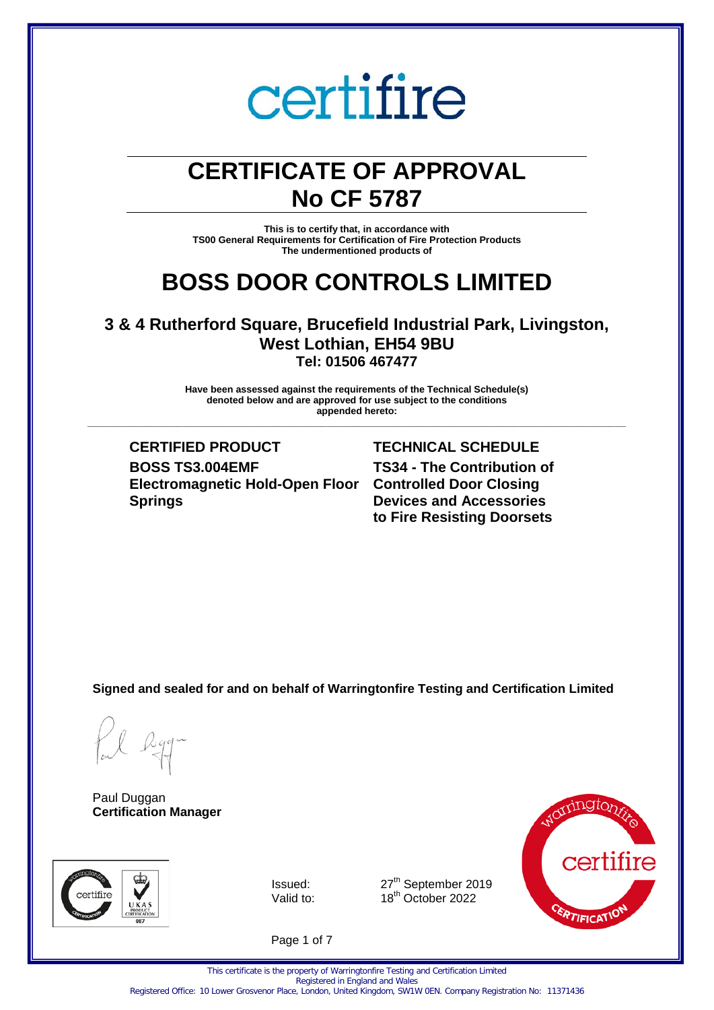### **CERTIFICATE OF APPROVAL No CF 5787**

**This is to certify that, in accordance with TS00 General Requirements for Certification of Fire Protection Products The undermentioned products of** 

### **BOSS DOOR CONTROLS LIMITED**

### **3 & 4 Rutherford Square, Brucefield Industrial Park, Livingston, West Lothian, EH54 9BU Tel: 01506 467477**

**Have been assessed against the requirements of the Technical Schedule(s) denoted below and are approved for use subject to the conditions appended hereto: \_\_\_\_\_\_\_\_\_\_\_\_\_\_\_\_\_\_\_\_\_\_\_\_\_\_\_\_\_\_\_\_\_\_\_\_\_\_\_\_\_\_\_\_\_\_\_\_\_\_\_\_\_\_\_\_\_\_\_\_\_\_\_\_\_\_\_\_\_\_\_\_\_\_\_\_\_\_\_\_\_\_\_\_\_\_\_\_\_\_\_\_\_\_\_\_\_\_\_\_\_**

**CERTIFIED PRODUCT TECHNICAL SCHEDULE BOSS TS3.004EMF Electromagnetic Hold-Open Floor Controlled Door Closing Springs**

**TS34 - The Contribution of Devices and Accessories to Fire Resisting Doorsets**

**Signed and sealed for and on behalf of Warringtonfire Testing and Certification Limited**

Paul Duggan **Certification Manager**



Issued: 27<sup>th</sup> September 2019<br>Valid to: 18<sup>th</sup> October 2022 18<sup>th</sup> October 2022



Page 1 of 7

Registered Office: 10 Lower Grosvenor Place, London, United Kingdom, SW1W 0EN. Company Registration No: 11371436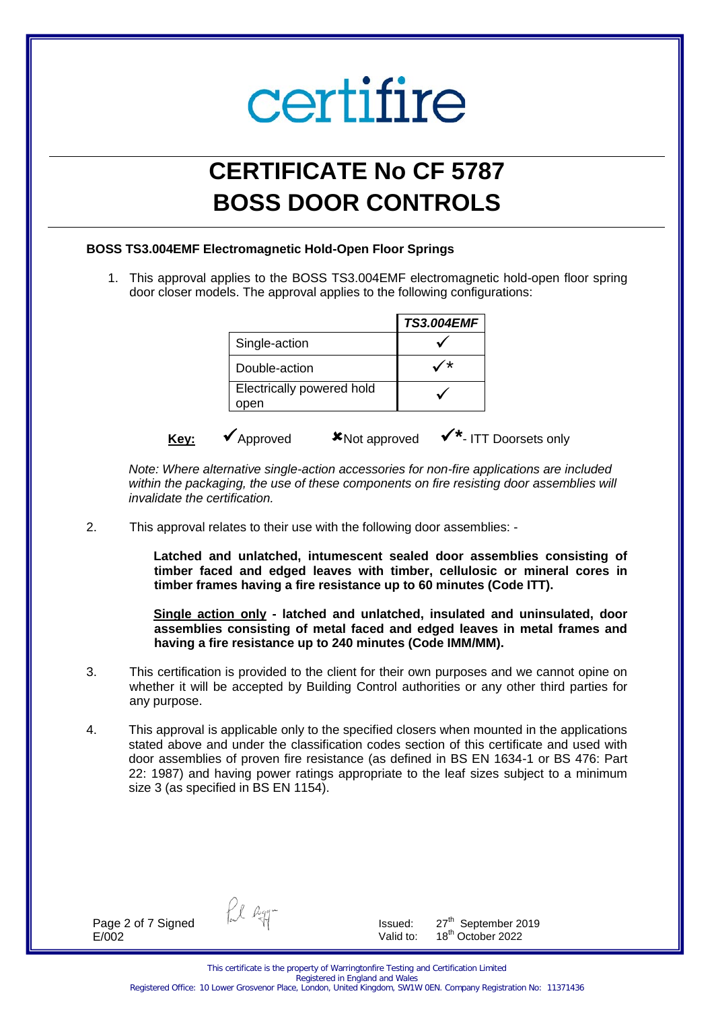## **CERTIFICATE No CF 5787 BOSS DOOR CONTROLS**

### **BOSS TS3.004EMF Electromagnetic Hold-Open Floor Springs**

1. This approval applies to the BOSS TS3.004EMF electromagnetic hold-open floor spring door closer models. The approval applies to the following configurations:

|      |                                   | <b>TS3.004EMF</b>                  |
|------|-----------------------------------|------------------------------------|
|      | Single-action                     |                                    |
|      | Double-action                     |                                    |
|      | Electrically powered hold<br>open |                                    |
| Key: | Approved<br><b>*Not approved</b>  | √ <sup>*</sup> - ITT Doorsets only |

*Note: Where alternative single-action accessories for non-fire applications are included within the packaging, the use of these components on fire resisting door assemblies will invalidate the certification.* 

2. This approval relates to their use with the following door assemblies: -

**Latched and unlatched, intumescent sealed door assemblies consisting of timber faced and edged leaves with timber, cellulosic or mineral cores in timber frames having a fire resistance up to 60 minutes (Code ITT).** 

**Single action only - latched and unlatched, insulated and uninsulated, door assemblies consisting of metal faced and edged leaves in metal frames and having a fire resistance up to 240 minutes (Code IMM/MM).** 

- 3. This certification is provided to the client for their own purposes and we cannot opine on whether it will be accepted by Building Control authorities or any other third parties for any purpose.
- 4. This approval is applicable only to the specified closers when mounted in the applications stated above and under the classification codes section of this certificate and used with door assemblies of proven fire resistance (as defined in BS EN 1634-1 or BS 476: Part 22: 1987) and having power ratings appropriate to the leaf sizes subject to a minimum size 3 (as specified in BS EN 1154).

Page 2 of 7 Signed E/002

fil agg-

Issued: 27<sup>th</sup> September 2019 Valid to:  $18^{th}$  October 2022

This certificate is the property of Warringtonfire Testing and Certification Limited Registered in England and Wales Registered Office: 10 Lower Grosvenor Place, London, United Kingdom, SW1W 0EN. Company Registration No: 11371436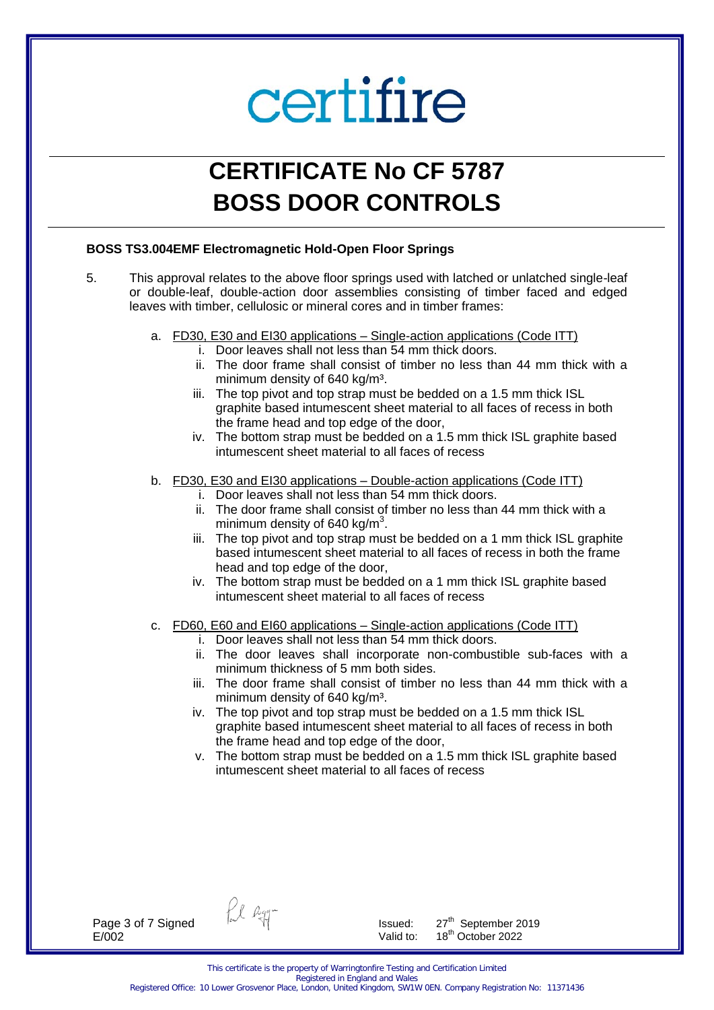### **CERTIFICATE No CF 5787 BOSS DOOR CONTROLS**

### **BOSS TS3.004EMF Electromagnetic Hold-Open Floor Springs**

- 5. This approval relates to the above floor springs used with latched or unlatched single-leaf or double-leaf, double-action door assemblies consisting of timber faced and edged leaves with timber, cellulosic or mineral cores and in timber frames:
	- a. FD30, E30 and EI30 applications Single-action applications (Code ITT)
		- i. Door leaves shall not less than 54 mm thick doors.
		- ii. The door frame shall consist of timber no less than 44 mm thick with a minimum density of 640 kg/m<sup>3</sup>.
		- iii. The top pivot and top strap must be bedded on a 1.5 mm thick ISL graphite based intumescent sheet material to all faces of recess in both the frame head and top edge of the door,
		- iv. The bottom strap must be bedded on a 1.5 mm thick ISL graphite based intumescent sheet material to all faces of recess
	- b. FD30, E30 and EI30 applications Double-action applications (Code ITT)
		- i. Door leaves shall not less than 54 mm thick doors.
		- ii. The door frame shall consist of timber no less than 44 mm thick with a minimum density of 640 kg/m<sup>3</sup>.
		- iii. The top pivot and top strap must be bedded on a 1 mm thick ISL graphite based intumescent sheet material to all faces of recess in both the frame head and top edge of the door,
		- iv. The bottom strap must be bedded on a 1 mm thick ISL graphite based intumescent sheet material to all faces of recess
	- c. FD60, E60 and EI60 applications Single-action applications (Code ITT)
		- i. Door leaves shall not less than 54 mm thick doors.
		- ii. The door leaves shall incorporate non-combustible sub-faces with a minimum thickness of 5 mm both sides.
		- iii. The door frame shall consist of timber no less than 44 mm thick with a minimum density of 640 kg/m<sup>3</sup>.
		- iv. The top pivot and top strap must be bedded on a 1.5 mm thick ISL graphite based intumescent sheet material to all faces of recess in both the frame head and top edge of the door,
		- v. The bottom strap must be bedded on a 1.5 mm thick ISL graphite based intumescent sheet material to all faces of recess

Page 3 of 7 Signed E/002

fil Ryg-

Issued: 27<sup>th</sup> September 2019 Valid to:  $18^{th}$  October 2022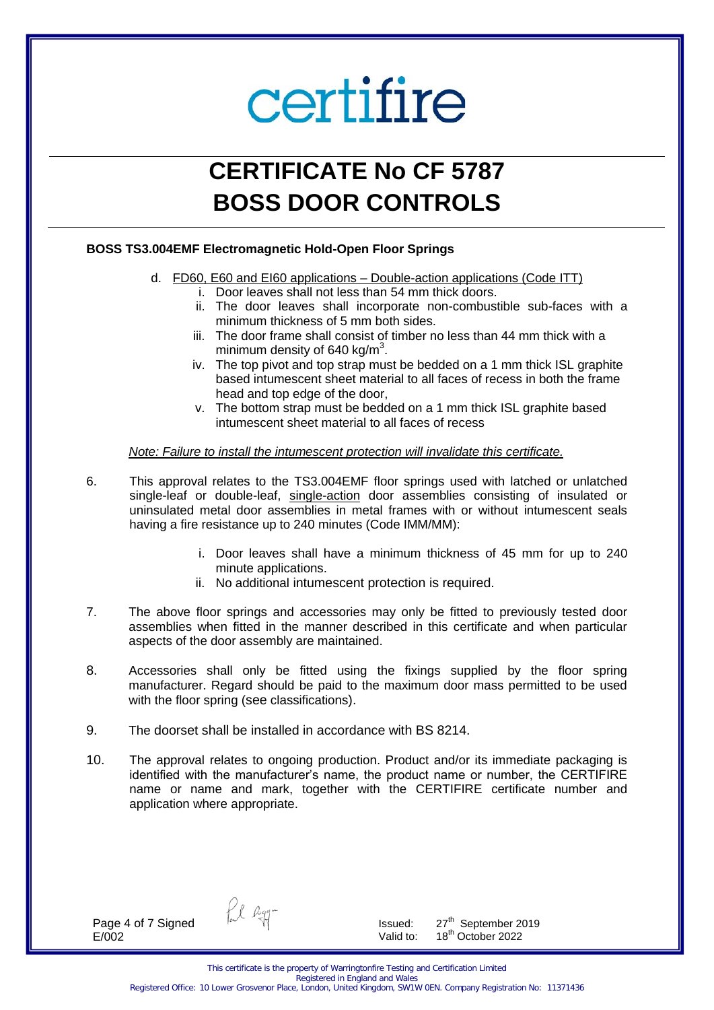### **CERTIFICATE No CF 5787 BOSS DOOR CONTROLS**

#### **BOSS TS3.004EMF Electromagnetic Hold-Open Floor Springs**

- d. FD60, E60 and EI60 applications Double-action applications (Code ITT)
	- i. Door leaves shall not less than 54 mm thick doors.
	- ii. The door leaves shall incorporate non-combustible sub-faces with a minimum thickness of 5 mm both sides.
	- iii. The door frame shall consist of timber no less than 44 mm thick with a minimum density of 640 kg/m<sup>3</sup>.
	- iv. The top pivot and top strap must be bedded on a 1 mm thick ISL graphite based intumescent sheet material to all faces of recess in both the frame head and top edge of the door,
	- v. The bottom strap must be bedded on a 1 mm thick ISL graphite based intumescent sheet material to all faces of recess

*Note: Failure to install the intumescent protection will invalidate this certificate.* 

- 6. This approval relates to the TS3.004EMF floor springs used with latched or unlatched single-leaf or double-leaf, single-action door assemblies consisting of insulated or uninsulated metal door assemblies in metal frames with or without intumescent seals having a fire resistance up to 240 minutes (Code IMM/MM):
	- i. Door leaves shall have a minimum thickness of 45 mm for up to 240 minute applications.
	- ii. No additional intumescent protection is required.
- 7. The above floor springs and accessories may only be fitted to previously tested door assemblies when fitted in the manner described in this certificate and when particular aspects of the door assembly are maintained.
- 8. Accessories shall only be fitted using the fixings supplied by the floor spring manufacturer. Regard should be paid to the maximum door mass permitted to be used with the floor spring (see classifications).
- 9. The doorset shall be installed in accordance with BS 8214.
- 10. The approval relates to ongoing production. Product and/or its immediate packaging is identified with the manufacturer's name, the product name or number, the CERTIFIRE name or name and mark, together with the CERTIFIRE certificate number and application where appropriate.

Page 4 of 7 Signed E/002

fil Ryg-

Issued: 27<sup>th</sup> September 2019 Valid to:  $18^{th}$  October 2022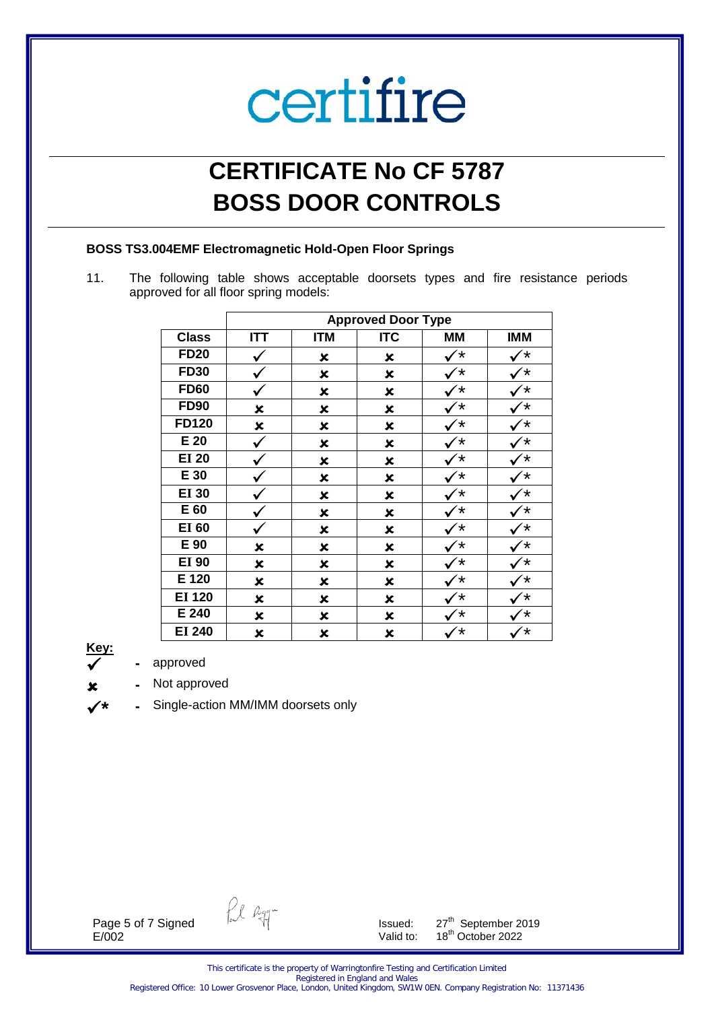### **CERTIFICATE No CF 5787 BOSS DOOR CONTROLS**

#### **BOSS TS3.004EMF Electromagnetic Hold-Open Floor Springs**

11. The following table shows acceptable doorsets types and fire resistance periods approved for all floor spring models:

|               | <b>Approved Door Type</b> |            |                |           |            |  |
|---------------|---------------------------|------------|----------------|-----------|------------|--|
| <b>Class</b>  | <b>ITT</b>                | <b>ITM</b> | <b>ITC</b>     | <b>MM</b> | <b>IMM</b> |  |
| <b>FD20</b>   |                           | ×          | ×              | $^\star$  |            |  |
| <b>FD30</b>   |                           | ×          | $\pmb{\times}$ |           |            |  |
| <b>FD60</b>   |                           | ×          | $\pmb{\times}$ |           |            |  |
| <b>FD90</b>   | $\pmb{\times}$            | ×          | $\pmb{\times}$ |           | *          |  |
| <b>FD120</b>  | $\boldsymbol{\mathsf{x}}$ | ×          | $\pmb{\times}$ |           |            |  |
| $E$ 20        | ✓                         | ×          | ×              |           |            |  |
| <b>EI 20</b>  |                           | ×          | ×              |           |            |  |
| E 30          |                           | ×          | ×              |           |            |  |
| <b>EI 30</b>  |                           | ×          | ×              | *         |            |  |
| E 60          |                           | ×          | ×              | $^\star$  |            |  |
| <b>EI 60</b>  |                           | ×          | ×              | $^\star$  |            |  |
| E 90          | ×                         | ×          | $\pmb{\times}$ |           |            |  |
| <b>EI 90</b>  | ×                         | ×          | $\pmb{\times}$ | $^\star$  |            |  |
| E 120         | ×                         | ×          | $\pmb{\times}$ | *         |            |  |
| <b>EI 120</b> | ×                         | ×          | ×              | *         | ′∗         |  |
| E 240         | ×                         | ×          | ×              | $^\star$  | $^\star$   |  |
| <b>EI 240</b> | ×                         | ×          | ×              | $^\star$  | $^\star$   |  |



**\***

**-** approved

- **-** Not approved
- **-** Single-action MM/IMM doorsets only

Page 5 of 7 Signed E/002

fil agg-

Issued:  $27^{th}$  September 2019 Valid to: 18<sup>th</sup> October 2022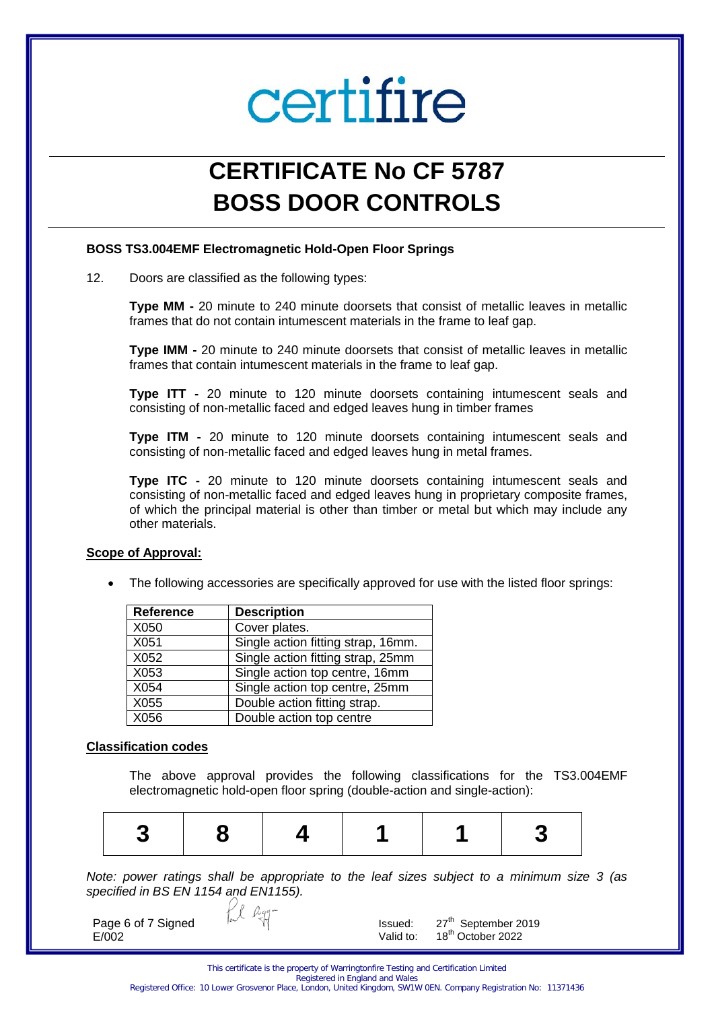### **CERTIFICATE No CF 5787 BOSS DOOR CONTROLS**

#### **BOSS TS3.004EMF Electromagnetic Hold-Open Floor Springs**

12. Doors are classified as the following types:

**Type MM -** 20 minute to 240 minute doorsets that consist of metallic leaves in metallic frames that do not contain intumescent materials in the frame to leaf gap.

**Type IMM -** 20 minute to 240 minute doorsets that consist of metallic leaves in metallic frames that contain intumescent materials in the frame to leaf gap.

**Type ITT -** 20 minute to 120 minute doorsets containing intumescent seals and consisting of non-metallic faced and edged leaves hung in timber frames

**Type ITM -** 20 minute to 120 minute doorsets containing intumescent seals and consisting of non-metallic faced and edged leaves hung in metal frames.

**Type ITC -** 20 minute to 120 minute doorsets containing intumescent seals and consisting of non-metallic faced and edged leaves hung in proprietary composite frames, of which the principal material is other than timber or metal but which may include any other materials.

#### **Scope of Approval:**

The following accessories are specifically approved for use with the listed floor springs:

| <b>Reference</b> | <b>Description</b>                 |
|------------------|------------------------------------|
| X050             | Cover plates.                      |
| X051             | Single action fitting strap, 16mm. |
| X052             | Single action fitting strap, 25mm  |
| X053             | Single action top centre, 16mm     |
| X054             | Single action top centre, 25mm     |
| X055             | Double action fitting strap.       |
| X056             | Double action top centre           |

#### **Classification codes**

The above approval provides the following classifications for the TS3.004EMF electromagnetic hold-open floor spring (double-action and single-action):

|--|--|

*Note: power ratings shall be appropriate to the leaf sizes subject to a minimum size 3 (as specified in BS EN 1154 and EN1155).* 

Page 6 of 7 Signed E/002

Issued: 27<sup>th</sup> September 2019 Valid to: 18<sup>th</sup> October 2022